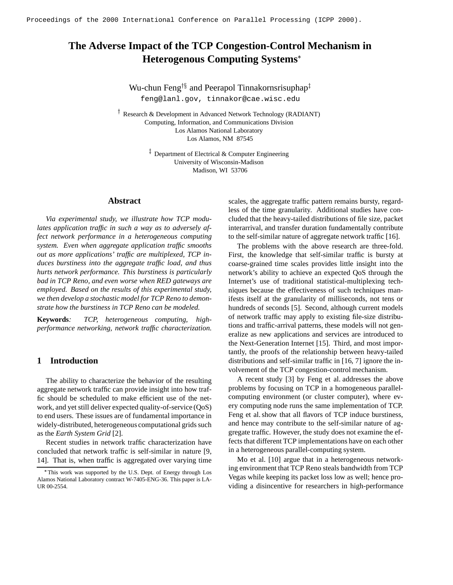# **The Adverse Impact of the TCP Congestion-Control Mechanism in Heterogenous Computing Systems**

Wu-chun Feng $^{\dagger \S}$  and Peerapol Tinnakornsrisuphap $^{\ddagger}$ feng@lanl.gov, tinnakor@cae.wisc.edu

 Research & Development in Advanced Network Technology (RADIANT) Computing, Information, and Communications Division Los Alamos National Laboratory Los Alamos, NM 87545

> $\frac{1}{x}$  Department of Electrical & Computer Engineering University of Wisconsin-Madison Madison, WI 53706

## **Abstract**

 $\blacksquare$ 

*Via experimental study, we illustrate how TCP modulates application traffic in such a way as to adversely affect network performance in a heterogeneous computing system. Even when aggregate application traffic smooths out as more applications' traffic are multiplexed, TCP induces burstiness into the aggregate traffic load, and thus hurts network performance. This burstiness is particularly bad in TCP Reno, and even worse when RED gateways are employed. Based on the results of this experimental study, we then develop a stochastic model for TCP Reno to demonstrate how the burstiness in TCP Reno can be modeled.*

**Keywords***: TCP, heterogeneous computing, highperformance networking, network traffic characterization.*

# **1 Introduction**

The ability to characterize the behavior of the resulting aggregate network traffic can provide insight into how traffic should be scheduled to make efficient use of the network, and yet still deliver expected quality-of-service (QoS) to end users. These issues are of fundamental importance in widely-distributed, heterogeneous computational grids such as the *Earth System Grid* [2].

Recent studies in network traffic characterization have concluded that network traffic is self-similar in nature [9, 14]. That is, when traffic is aggregated over varying time scales, the aggregate traffic pattern remains bursty, regardless of the time granularity. Additional studies have concluded that the heavy-tailed distributions of file size, packet interarrival, and transfer duration fundamentally contribute to the self-similar nature of aggregate network traffic [16].

The problems with the above research are three-fold. First, the knowledge that self-similar traffic is bursty at coarse-grained time scales provides little insight into the network's ability to achieve an expected QoS through the Internet's use of traditional statistical-multiplexing techniques because the effectiveness of such techniques manifests itself at the granularity of milliseconds, not tens or hundreds of seconds [5]. Second, although current models of network traffic may apply to existing file-size distributions and traffic-arrival patterns, these models will not generalize as new applications and services are introduced to the Next-Generation Internet [15]. Third, and most importantly, the proofs of the relationship between heavy-tailed distributions and self-similar traffic in [16, 7] ignore the involvement of the TCP congestion-control mechanism.

A recent study [3] by Feng et al. addresses the above problems by focusing on TCP in a homogeneous parallelcomputing environment (or cluster computer), where every computing node runs the same implementation of TCP. Feng et al. show that all flavors of TCP induce burstiness, and hence may contribute to the self-similar nature of aggregate traffic. However, the study does not examine the effects that different TCP implementations have on each other in a heterogeneous parallel-computing system.

Mo et al. [10] argue that in a heterogeneous networking environment that TCP Reno steals bandwidth from TCP Vegas while keeping its packet loss low as well; hence providing a disincentive for researchers in high-performance

This work was supported by the U.S. Dept. of Energy through Los Alamos National Laboratory contract W-7405-ENG-36. This paper is LA-UR 00-2554.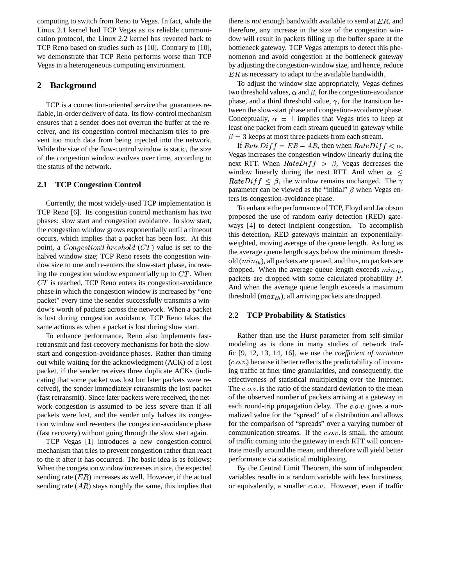computing to switch from Reno to Vegas. In fact, while the Linux 2.1 kernel had TCP Vegas as its reliable communication protocol, the Linux 2.2 kernel has reverted back to TCP Reno based on studies such as [10]. Contrary to [10], we demonstrate that TCP Reno performs worse than TCP Vegas in a heterogeneous computing environment.

## **2 Background**

TCP is a connection-oriented service that guarantees reliable, in-order delivery of data. Its flow-control mechanism ensures that a sender does not overrun the buffer at the receiver, and its congestion-control mechanism tries to prevent too much data from being injected into the network. While the size of the flow-control window is static, the size of the congestion window evolves over time, according to the status of the network.

## **2.1 TCP Congestion Control**

Currently, the most widely-used TCP implementation is TCP Reno [6]. Its congestion control mechanism has two phases: slow start and congestion avoidance. In slow start, the congestion window grows exponentially until a timeout occurs, which implies that a packet has been lost. At this point, a  $CongestionThreshold$  (CT) value is set to the halved window size; TCP Reno resets the congestion window size to one and re-enters the slow-start phase, increasing the congestion window exponentially up to  $CT$ . When  $CT$  is reached, TCP Reno enters its congestion-avoidance phase in which the congestion window is increased by "one packet" every time the sender successfully transmits a window's worth of packets across the network. When a packet is lost during congestion avoidance, TCP Reno takes the same actions as when a packet is lost during slow start.

To enhance performance, Reno also implements fastretransmit and fast-recovery mechanisms for both the slowstart and congestion-avoidance phases. Rather than timing out while waiting for the acknowledgment (ACK) of a lost packet, if the sender receives three duplicate ACKs (indicating that some packet was lost but later packets were received), the sender immediately retransmits the lost packet (fast retransmit). Since later packets were received, the network congestion is assumed to be less severe than if all packets were lost, and the sender only halves its congestion window and re-enters the congestion-avoidance phase (fast recovery) without going through the slow start again.

TCP Vegas [1] introduces a new congestion-control mechanism that tries to prevent congestion rather than react to the it after it has occurred. The basic idea is as follows: When the congestion window increases in size, the expected sending rate  $(ER)$  increases as well. However, if the actual sending rate  $(AR)$  stays roughly the same, this implies that there is *not* enough bandwidth available to send at  $ER$ , and therefore, any increase in the size of the congestion window will result in packets filling up the buffer space at the bottleneck gateway. TCP Vegas attempts to detect this phenomenon and avoid congestion at the bottleneck gateway by adjusting the congestion-window size, and hence, reduce  $ER$  as necessary to adapt to the available bandwidth.

To adjust the window size appropriately, Vegas defines two threshold values,  $\alpha$  and  $\beta$ , for the congestion-avoidance phase, and a third threshold value,  $\gamma$ , for the transition between the slow-start phase and congestion-avoidance phase. Conceptually,  $\alpha = 1$  implies that Vegas tries to keep at least one packet from each stream queued in gateway while  $\beta = 3$  keeps at most three packets from each stream.

If  $RateDiff = ER - AR$ , then when  $RateDiff  $\alpha$ ,$ Vegas increases the congestion window linearly during the next RTT. When  $RateDiff > \beta$ , Vegas decreases the window linearly during the next RTT. And when  $\alpha \leq$  $RateDiff \leq \beta$ , the window remains unchanged. The  $\gamma$ parameter can be viewed as the "initial"  $\beta$  when Vegas enters its congestion-avoidance phase.

To enhance the performance of TCP, Floyd and Jacobson proposed the use of random early detection (RED) gateways [4] to detect incipient congestion. To accomplish this detection, RED gateways maintain an exponentiallyweighted, moving average of the queue length. As long as the average queue length stays below the minimum threshold  $(min<sub>th</sub>)$ , all packets are queued, and thus, no packets are dropped. When the average queue length exceeds  $min_{th}$ , packets are dropped with some calculated probability <sup>D</sup>. And when the average queue length exceeds a maximum threshold  $(max_{th})$ , all arriving packets are dropped.

## **2.2 TCP Probability & Statistics**

Rather than use the Hurst parameter from self-similar modeling as is done in many studies of network traffic [9, 12, 13, 14, 16], we use the *coefficient of variation*  $(c.o.v.)$  because it better reflects the predictability of incoming traffic at finer time granularities, and consequently, the effectiveness of statistical multiplexing over the Internet. The  $c.o.v.$  is the ratio of the standard deviation to the mean of the observed number of packets arriving at a gateway in each round-trip propagation delay. The  $c.o.v.$  gives a normalized value for the "spread" of a distribution and allows for the comparison of "spreads" over a varying number of communication streams. If the  $c.o.v.$  is small, the amount of traffic coming into the gateway in each RTT will concentrate mostly around the mean, and therefore will yield better performance via statistical multiplexing.

By the Central Limit Theorem, the sum of independent variables results in a random variable with less burstiness, or equivalently, a smaller  $c.o.v.$  However, even if traffic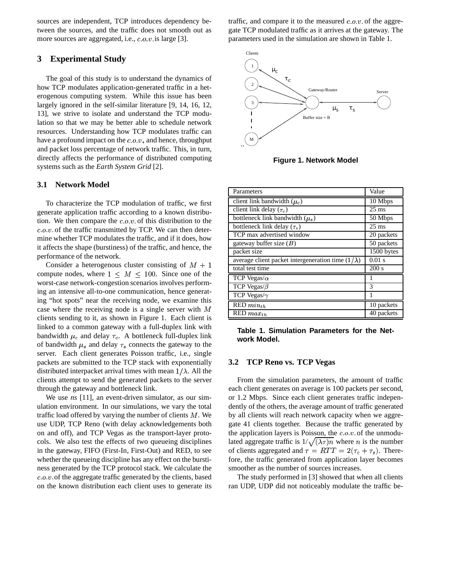sources are independent, TCP introduces dependency between the sources, and the traffic does not smooth out as more sources are aggregated, i.e.,  $c.o.v.$  is large [3].

## **3 Experimental Study**

The goal of this study is to understand the dynamics of how TCP modulates application-generated traffic in a heterogenous computing system. While this issue has been largely ignored in the self-similar literature [9, 14, 16, 12, 13], we strive to isolate and understand the TCP modulation so that we may be better able to schedule network resources. Understanding how TCP modulates traffic can have a profound impact on the  $c.o.v$ , and hence, throughput and packet loss percentage of network traffic. This, in turn, directly affects the performance of distributed computing systems such as the *Earth System Grid* [2].

## **3.1 Network Model**

To characterize the TCP modulation of traffic, we first generate application traffic according to a known distribution. We then compare the  $c.o.v.$  of this distribution to the  $c.o.v.$  of the traffic transmitted by TCP. We can then determine whether TCP modulates the traffic, and if it does, how it affects the shape (burstiness) of the traffic, and hence, the performance of the network.

Consider a heterogenous cluster consisting of  $M + 1$ compute nodes, where  $1 \leq M \leq 100$ . Since one of the worst-case network-congestion scenarios involves performing an intensive all-to-one communication, hence generating "hot spots" near the receiving node, we examine this case where the receiving node is a single server with  $M$ clients sending to it, as shown in Figure 1. Each client is linked to a common gateway with a full-duplex link with bandwidth  $\mu_c$  and delay  $\tau_c$ . A bottleneck full-duplex link of bandwidth  $\mu_s$  and delay  $\tau_s$  connects the gateway to the server. Each client generates Poisson traffic, i.e., single packets are submitted to the TCP stack with exponentially distributed interpacket arrival times with mean  $1/\lambda$ . All the clients attempt to send the generated packets to the server through the gateway and bottleneck link.

We use *ns* [11], an event-driven simulator, as our simulation environment. In our simulations, we vary the total traffic load offered by varying the number of clients  $M$ . We use UDP, TCP Reno (with delay acknowledgements both on and off), and TCP Vegas as the transport-layer protocols. We also test the effects of two queueing disciplines in the gateway, FIFO (First-In, First-Out) and RED, to see whether the queueing discipline has any effect on the burstiness generated by the TCP protocol stack. We calculate the  $c.o.v.$  of the aggregate traffic generated by the clients, based on the known distribution each client uses to generate its

traffic, and compare it to the measured  $c.o.v.$  of the aggregate TCP modulated traffic as it arrives at the gateway. The parameters used in the simulation are shown in Table 1.



**Figure 1. Network Model**

| Parameters                                               | Value           |
|----------------------------------------------------------|-----------------|
| client link bandwidth $(\mu_c)$                          | $10$ Mbps       |
| client link delay $(\tau_c)$                             | $25 \text{ ms}$ |
| bottleneck link bandwidth $(\mu_s)$                      | 50 Mbps         |
| bottleneck link delay $(\tau_s)$                         | $25 \text{ ms}$ |
| TCP max advertised window                                | 20 packets      |
| gateway buffer size $(B)$                                | 50 packets      |
| packet size                                              | 1500 bytes      |
| average client packet intergeneration time $(1/\lambda)$ | $0.01$ s        |
| total test time                                          | 200 s           |
| TCP Vegas/ $\alpha$                                      |                 |
| TCP Vegas/ $\beta$                                       | 3               |
| TCP Vegas/ $\gamma$                                      |                 |
| $RED min_{th}$                                           | 10 packets      |
| $RED \, max_{th}$                                        | 40 packets      |

**Table 1. Simulation Parameters for the Network Model.**

#### **3.2 TCP Reno vs. TCP Vegas**

From the simulation parameters, the amount of traffic each client generates on average is 100 packets per second, or 1.2 Mbps. Since each client generates traffic independently of the others, the average amount of traffic generated by all clients will reach network capacity when we aggregate 41 clients together. Because the traffic generated by the application layers is Poisson, the  $c.o.v.$  of the unmodulated aggregate traffic is  $1/\sqrt{(\lambda \tau)}n$  where *n* is the number of clients aggregated and  $\tau = RTT = 2(\tau_c + \tau_s)$ . Therefore, the traffic generated from application layer becomes smoother as the number of sources increases.

The study performed in [3] showed that when all clients ran UDP, UDP did not noticeably modulate the traffic be-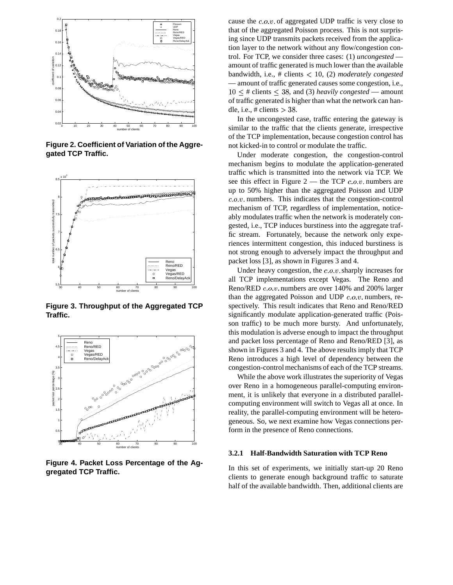

**Figure 2. Coefficient of Variation of the Aggregated TCP Traffic.**



**Figure 3. Throughput of the Aggregated TCP Traffic.**



**Figure 4. Packet Loss Percentage of the Aggregated TCP Traffic.**

cause the  $c.o.v.$  of aggregated UDP traffic is very close to that of the aggregated Poisson process. This is not surprising since UDP transmits packets received from the application layer to the network without any flow/congestion control. For TCP, we consider three cases: (1) *uncongested* amount of traffic generated is much lower than the available bandwidth, i.e., # clients <sup>6</sup> 10, (2) *moderately congested* — amount of traffic generated causes some congestion, i.e.,  $10 \leq \text{\# clients} \leq 38$ , and (3) *heavily congested* — amount of traffic generated is higher than what the network can handle, i.e., # clients  $> 38$ .

In the uncongested case, traffic entering the gateway is similar to the traffic that the clients generate, irrespective of the TCP implementation, because congestion control has not kicked-in to control or modulate the traffic.

Under moderate congestion, the congestion-control mechanism begins to modulate the application-generated traffic which is transmitted into the network via TCP. We see this effect in Figure  $2$  — the TCP  $c.o.v.$  numbers are up to 50% higher than the aggregated Poisson and UDP  $c.o.v.$  numbers. This indicates that the congestion-control mechanism of TCP, regardless of implementation, noticeably modulates traffic when the network is moderately congested, i.e., TCP induces burstiness into the aggregate traffic stream. Fortunately, because the network only experiences intermittent congestion, this induced burstiness is not strong enough to adversely impact the throughput and packet loss [3], as shown in Figures 3 and 4.

Under heavy congestion, the  $c.o.v.$  sharply increases for all TCP implementations except Vegas. The Reno and Reno/RED  $c.o.v.$  numbers are over 140% and 200% larger than the aggregated Poisson and UDP  $c.o.v.$  numbers, respectively. This result indicates that Reno and Reno/RED significantly modulate application-generated traffic (Poisson traffic) to be much more bursty. And unfortunately, this modulation is adverse enough to impact the throughput and packet loss percentage of Reno and Reno/RED [3], as shown in Figures 3 and 4. The above results imply that TCP Reno introduces a high level of dependency between the congestion-control mechanisms of each of the TCP streams.

While the above work illustrates the superiority of Vegas over Reno in a homogeneous parallel-computing environment, it is unlikely that everyone in a distributed parallelcomputing environment will switch to Vegas all at once. In reality, the parallel-computing environment will be heterogeneous. So, we next examine how Vegas connections perform in the presence of Reno connections.

#### **3.2.1 Half-Bandwidth Saturation with TCP Reno**

In this set of experiments, we initially start-up 20 Reno clients to generate enough background traffic to saturate half of the available bandwidth. Then, additional clients are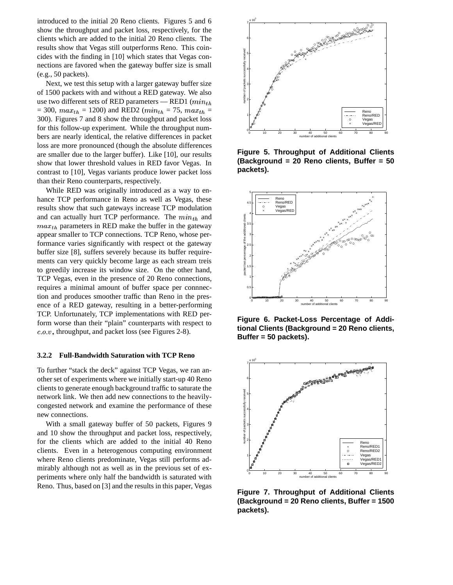introduced to the initial 20 Reno clients. Figures 5 and 6 show the throughput and packet loss, respectively, for the clients which are added to the initial 20 Reno clients. The results show that Vegas still outperforms Reno. This coincides with the finding in [10] which states that Vegas connections are favored when the gateway buffer size is small (e.g., 50 packets).

Next, we test this setup with a larger gateway buffer size of 1500 packets with and without a RED gateway. We also use two different sets of RED parameters — RED1  $(min<sub>th</sub>$  $= 300$ ,  $max_{th} = 1200$  and RED2 ( $min_{th} = 75$ ,  $max_{th} =$ 300). Figures 7 and 8 show the throughput and packet loss for this follow-up experiment. While the throughput numbers are nearly identical, the relative differences in packet loss are more pronounced (though the absolute differences are smaller due to the larger buffer). Like [10], our results show that lower threshold values in RED favor Vegas. In contrast to [10], Vegas variants produce lower packet loss than their Reno counterparts, respectively.

While RED was originally introduced as a way to enhance TCP performance in Reno as well as Vegas, these results show that such gateways increase TCP modulation and can actually hurt TCP performance. The  $min_{th}$  and  $max_{th}$  parameters in RED make the buffer in the gateway appear smaller to TCP connections. TCP Reno, whose performance varies significantly with respect ot the gateway buffer size [8], suffers severely because its buffer requirements can very quickly become large as each stream treis to greedily increase its window size. On the other hand, TCP Vegas, even in the presence of 20 Reno connections, requires a minimal amount of buffer space per connnection and produces smoother traffic than Reno in the presence of a RED gateway, resulting in a better-performing TCP. Unfortunately, TCP implementations with RED perform worse than their "plain" counterparts with respect to  $c.o.v$ , throughput, and packet loss (see Figures 2-8).

#### **3.2.2 Full-Bandwidth Saturation with TCP Reno**

To further "stack the deck" against TCP Vegas, we ran another set of experiments where we initially start-up 40 Reno clients to generate enough background traffic to saturate the network link. We then add new connections to the heavilycongested network and examine the performance of these new connections.

With a small gateway buffer of 50 packets, Figures 9 and 10 show the throughput and packet loss, respectively, for the clients which are added to the initial 40 Reno clients. Even in a heterogenous computing environment where Reno clients predominate, Vegas still performs admirably although not as well as in the previous set of experiments where only half the bandwidth is saturated with Reno. Thus, based on [3] and the results in this paper, Vegas



**Figure 5. Throughput of Additional Clients (Background = 20 Reno clients, Buffer = 50 packets).**



**Figure 6. Packet-Loss Percentage of Additional Clients (Background = 20 Reno clients, Buffer = 50 packets).**



**Figure 7. Throughput of Additional Clients (Background = 20 Reno clients, Buffer = 1500 packets).**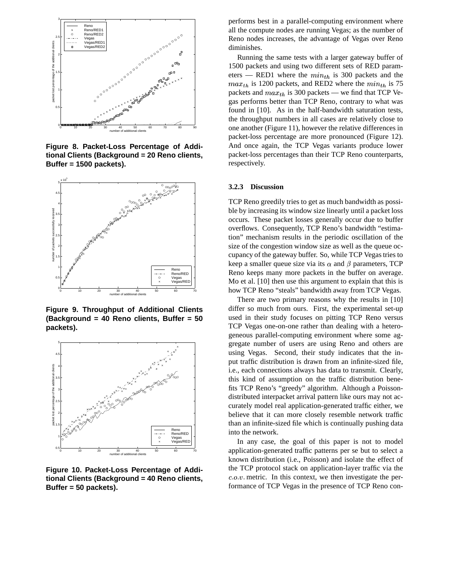

**Figure 8. Packet-Loss Percentage of Additional Clients (Background = 20 Reno clients, Buffer = 1500 packets).**



**Figure 9. Throughput of Additional Clients (Background = 40 Reno clients, Buffer = 50 packets).**



**Figure 10. Packet-Loss Percentage of Additional Clients (Background = 40 Reno clients, Buffer = 50 packets).**

performs best in a parallel-computing environment where all the compute nodes are running Vegas; as the number of Reno nodes increases, the advantage of Vegas over Reno diminishes.

Running the same tests with a larger gateway buffer of 1500 packets and using two different sets of RED parameters — RED1 where the  $min_{th}$  is 300 packets and the  $max_{th}$  is 1200 packets, and RED2 where the  $min_{th}$  is 75 packets and  $max_{th}$  is 300 packets — we find that TCP Vegas performs better than TCP Reno, contrary to what was found in [10]. As in the half-bandwidth saturation tests, the throughput numbers in all cases are relatively close to one another (Figure 11), however the relative differences in packet-loss percentage are more pronounced (Figure 12). And once again, the TCP Vegas variants produce lower packet-loss percentages than their TCP Reno counterparts, respectively.

#### **3.2.3 Discussion**

TCP Reno greedily tries to get as much bandwidth as possible by increasing its window size linearly until a packet loss occurs. These packet losses generally occur due to buffer overflows. Consequently, TCP Reno's bandwidth "estimation" mechanism results in the periodic oscillation of the size of the congestion window size as well as the queue occupancy of the gateway buffer. So, while TCP Vegas tries to keep a smaller queue size via its  $\alpha$  and  $\beta$  parameters, TCP Reno keeps many more packets in the buffer on average. Mo et al. [10] then use this argument to explain that this is how TCP Reno "steals" bandwidth away from TCP Vegas.

There are two primary reasons why the results in [10] differ so much from ours. First, the experimental set-up used in their study focuses on pitting TCP Reno versus TCP Vegas one-on-one rather than dealing with a heterogeneous parallel-computing environment where some aggregate number of users are using Reno and others are using Vegas. Second, their study indicates that the input traffic distribution is drawn from an infinite-sized file, i.e., each connections always has data to transmit. Clearly, this kind of assumption on the traffic distribution benefits TCP Reno's "greedy" algorithm. Although a Poissondistributed interpacket arrival pattern like ours may not accurately model real application-generated traffic either, we believe that it can more closely resemble network traffic than an infinite-sized file which is continually pushing data into the network.

In any case, the goal of this paper is not to model application-generated traffic patterns per se but to select a known distribution (i.e., Poisson) and isolate the effect of the TCP protocol stack on application-layer traffic via the  $c.o.v.$  metric. In this context, we then investigate the performance of TCP Vegas in the presence of TCP Reno con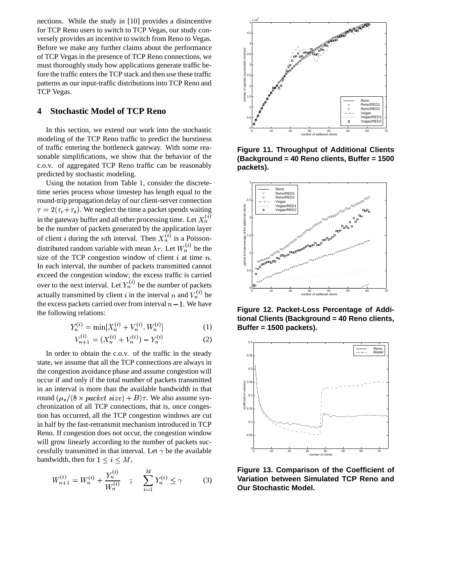nections. While the study in [10] provides a disincentive for TCP Reno users to switch to TCP Vegas, our study conversely provides an incentive to switch from Reno to Vegas. Before we make any further claims about the performance of TCP Vegas in the presence of TCP Reno connections, we must thoroughly study how applications generate traffic before the traffic enters the TCP stack and then use these traffic patterns as our input-traffic distributions into TCP Reno and TCP Vegas.

## **4 Stochastic Model of TCP Reno**

In this section, we extend our work into the stochastic modeling of the TCP Reno traffic to predict the burstiness of traffic entering the bottleneck gateway. With some reasonable simplifications, we show that the behavior of the c.o.v. of aggregated TCP Reno traffic can be reasonably predicted by stochastic modeling.

Using the notation from Table 1, consider the discretetime series process whose timestep has length equal to the round-trip propagation delay of our client-server connection  $\tau = 2(\tau_c + \tau_s)$ . We neglect the time a packet spends waiting in the gateway buffer and all other processing time. Let  $X_n^{(i)}$   $\qquad \frac{2}{3}$   $\frac{1}{3}$ the contract of the contract of the contract of be the number of packets generated by the application layer of client *i* during the *n*th interval. Then  $X_n^{(i)}$  is a Poissondistributed random variable with mean  $\lambda \tau$ . Let  $W_n^{(i)}$  be the  $\frac{2}{3}$ size of the TCP congestion window of client  $i$  at time  $n$ . In each interval, the number of packets transmitted cannot exceed the congestion window; the excess traffic is carried over to the next interval. Let  $Y_n^{(i)}$  be the number of packets actually transmitted by client *i* in the interval *n* and  $V_n^{(i)}$  be the excess packets carried over from interval  $n - 1$ . We have the following relations:

$$
Y_n^{(i)} = \min[X_n^{(i)} + V_n^{(i)}, W_n^{(i)}]
$$
 (1)

$$
V_{n+1}^{(i)} = (X_n^{(i)} + V_n^{(i)}) - Y_n^{(i)}
$$
 (2)

In order to obtain the c.o.v. of the traffic in the steady state, we assume that all the TCP connections are always in the congestion avoidance phase and assume congestion will occur if and only if the total number of packets transmitted in an interval is more than the available bandwidth in that round  $(\mu_s/(8 \times packet \ size) + B)\tau$ . We also assume synchronization of all TCP connections, that is, once congestion has occurred, all the TCP congestion windows are cut in half by the fast-retransmit mechanism introduced in TCP Reno. If congestion does not occur, the congestion window will grow linearly according to the number of packets successfully transmitted in that interval. Let  $\gamma$  be the available bandwidth, then for  $1 \leq i \leq M$ ,

$$
W_{n+1}^{(i)} = W_n^{(i)} + \frac{Y_n^{(i)}}{W_n^{(i)}} \quad ; \quad \sum_{i=1}^M Y_n^{(i)} \le \gamma \tag{3}
$$



**Figure 11. Throughput of Additional Clients (Background = 40 Reno clients, Buffer = 1500 packets).**



**Figure 12. Packet-Loss Percentage of Additional Clients (Background = 40 Reno clients, Buffer = 1500 packets).**



**Figure 13. Comparison of the Coefficient of Variation between Simulated TCP Reno and Our Stochastic Model.**